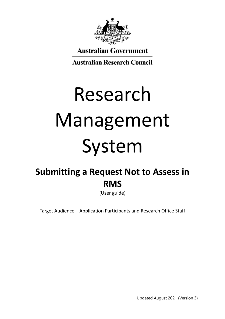

**Australian Government** 

**Australian Research Council** 

# Research Management System

# **Submitting a Request Not to Assess in RMS**

(User guide)

Target Audience – Application Participants and Research Office Staff

Updated August 2021 (Version 3)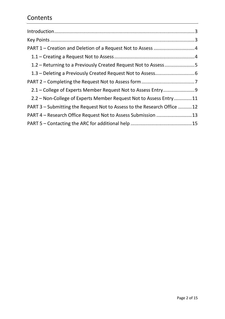# **Contents**

| 1.2 – Returning to a Previously Created Request Not to Assess5          |  |
|-------------------------------------------------------------------------|--|
|                                                                         |  |
|                                                                         |  |
|                                                                         |  |
| 2.2 – Non-College of Experts Member Request Not to Assess Entry11       |  |
| PART 3 – Submitting the Request Not to Assess to the Research Office 12 |  |
| PART 4 – Research Office Request Not to Assess Submission  13           |  |
|                                                                         |  |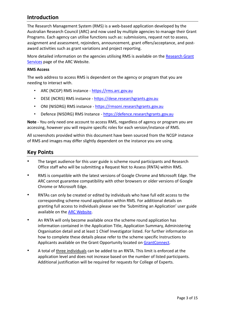# <span id="page-2-0"></span>**Introduction**

The Research Management System (RMS) is a web-based application developed by the Australian Research Council (ARC) and now used by multiple agencies to manage their Grant Programs. Each agency can utilise functions such as: submissions, request not to assess, assignment and assessment, rejoinders, announcement, grant offers/acceptance, and postaward activities such as grant variations and project reporting.

More detailed information on the agencies utilising RMS is available on the [Research Grant](https://www.arc.gov.au/research-grants-services)  [Services](https://www.arc.gov.au/research-grants-services) page of the ARC Website.

#### **RMS Access**

The web address to access RMS is dependent on the agency or program that you are needing to interact with.

- ARC (NCGP) RMS instance [https://rms.arc.gov.au](https://rms.arc.gov.au/)
- DESE (NCRIS) RMS instance [https://dese.researchgrants.gov.au](https://dese.researchgrants.gov.au/)
- ONI (NISDRG) RMS instance [https://rmsoni.researchgrants.gov.au](https://rmsoni.researchgrants.gov.au/)
- Defence (NISDRG) RMS Instance [https://defence.researchgrants.gov.au](https://defence.researchgrants.gov.au/)

**Note** - You only need one account to access RMS, regardless of agency or program you are accessing, however you will require specific roles for each version/instance of RMS.

All screenshots provided within this document have been sourced from the NCGP instance of RMS and images may differ slightly dependent on the instance you are using.

### <span id="page-2-1"></span>**Key Points**

- The target audience for this user guide is scheme round participants and Research Office staff who will be submitting a Request Not to Assess (RNTA) within RMS.
- RMS is compatible with the latest versions of Google Chrome and Microsoft Edge. The ARC cannot guarantee compatibility with other browsers or older versions of Google Chrome or Microsoft Edge.
- RNTAs can only be created or edited by individuals who have full edit access to the corresponding scheme round application within RMS. For additional details on granting full access to individuals please see the 'Submitting an Application' user guide available on the [ARC Website.](https://www.arc.gov.au/grants/rms-information)
- An RNTA will only become available once the scheme round application has information contained in the Application Title, Application Summary, Administering Organisation detail and at least 1 Chief Investigator listed. For further information on how to complete these details please refer to the scheme specific Instructions to Applicants available on the Grant Opportunity located on [GrantConnect.](https://www.grants.gov.au/Go/List)
- A total of three individuals can be added to an RNTA. This limit is enforced at the application level and does not increase based on the number of listed participants. Additional justification will be required for requests for College of Experts.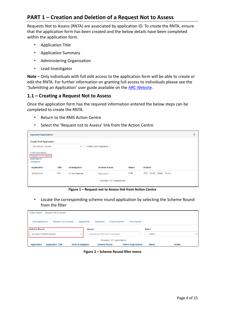# <span id="page-3-0"></span>**PART 1 – Creation and Deletion of a Request Not to Assess**

Requests Not to Assess (RNTA) are associated by application ID. To create the RNTA, ensure that the application form has been created and the below details have been completed within the application form.

- Application Title
- Application Summary
- Administering Organisation
- Lead Investigator

**Note** – Only individuals with full edit access to the application form will be able to create or edit the RNTA. For further information on granting full access to individuals please see the 'Submitting an Application' user guide available on the [ARC Website.](https://www.arc.gov.au/grants/rms-information)

#### <span id="page-3-1"></span>**1.1 – Creating a Request Not to Assess**

Once the application form has the required information entered the below steps can be completed to create the RNTA.

- Return to the RMS Action Centre
- Select the 'Request not to Assess' link from the Action Centre

| <b>Applicant Applications</b>                                                    |       |                   |                                 |               |                               |  |
|----------------------------------------------------------------------------------|-------|-------------------|---------------------------------|---------------|-------------------------------|--|
| <b>Create Draft Application</b>                                                  |       |                   |                                 |               |                               |  |
| <b>All Scheme Rounds</b>                                                         |       | $\checkmark$      | <b>Create Draft Application</b> |               |                               |  |
| <b>Draft Applications</b><br>Request not to Assess<br>Applications<br>Rejoinders |       |                   |                                 |               |                               |  |
| <b>Application</b>                                                               | Title | Investigators     | <b>Scheme Round</b>             | <b>Status</b> | <b>Actions</b>                |  |
| <b>IDXXXXXXXXX</b>                                                               | test  | Dr Test Applicant | <b>IDXX</b> round 1             | Draft         | Edit Details<br>Delete Access |  |
|                                                                                  |       |                   | Showing 1 of 1 applications.    |               |                               |  |

**Figure 1 – Request not to Assess link from Action Centre**

• Locate the corresponding scheme round application by selecting the Scheme Round from the filter

| Action Centre /                                                                                                                                                                                   | <b>Request not to Assess</b> |              |                                      |                        |                      |                |              |
|---------------------------------------------------------------------------------------------------------------------------------------------------------------------------------------------------|------------------------------|--------------|--------------------------------------|------------------------|----------------------|----------------|--------------|
| <b>Draft Applications</b>                                                                                                                                                                         | <b>Request not to Assess</b> | Applications | <b>Rejoinders</b>                    | <b>Project Reports</b> | <b>Final Reports</b> |                |              |
| <b>Scheme Round</b>                                                                                                                                                                               |                              |              | <b>Search</b>                        |                        |                      | <b>Status</b>  |              |
| All Open Scheme Rounds                                                                                                                                                                            |                              | $\checkmark$ | Application/Title/Chief Investigator |                        |                      | $-$ Select $-$ | $\checkmark$ |
| Showing 2 of 2 applications.<br><b>Chief Investigator</b><br><b>Scheme Round</b><br><b>Admin Organisation</b><br><b>Action</b><br><b>Application Title</b><br><b>Status</b><br><b>Application</b> |                              |              |                                      |                        |                      |                |              |

**Figure 2 – Scheme Round filter menu**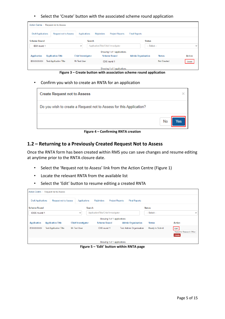• Select the 'Create' button with the associated scheme round application

|                           | Action Centre / Request not to Assess |                           |        |                                      |                              |                           |               |                    |               |
|---------------------------|---------------------------------------|---------------------------|--------|--------------------------------------|------------------------------|---------------------------|---------------|--------------------|---------------|
| <b>Draft Applications</b> | <b>Request not to Assess</b>          | Applications              |        | <b>Rejoinders</b>                    | <b>Project Reports</b>       | <b>Final Reports</b>      |               |                    |               |
| <b>Scheme Round</b>       |                                       |                           | Search |                                      |                              |                           | <b>Status</b> |                    |               |
| <b>IDXX</b> round 1       |                                       | $\checkmark$              |        | Application/Title/Chief Investigator |                              |                           | -- Select --  |                    | $\checkmark$  |
|                           |                                       |                           |        |                                      | Showing 1 of 1 applications. |                           |               |                    |               |
| <b>Application</b>        | <b>Application Title</b>              | <b>Chief Investigator</b> |        |                                      | <b>Scheme Round</b>          | <b>Admin Organisation</b> |               | <b>Status</b>      | <b>Action</b> |
| <b>IDXXXXXXXXX</b>        | <b>Test Application Title</b>         | Mr Test User              |        |                                      | <b>IDXX</b> round 1          |                           |               | <b>Not Created</b> | Create        |
|                           |                                       |                           |        |                                      | Showing 1 of 1 applications. |                           |               |                    |               |

**Figure 3 – Create button with association scheme round application**

• Confirm you wish to create an RNTA for an application

| <b>Create Request not to Assess</b>                                 | ×         |
|---------------------------------------------------------------------|-----------|
| Do you wish to create a Request not to Assess for this Application? |           |
|                                                                     | No<br>es/ |

**Figure 4 – Confirming RNTA creation**

#### <span id="page-4-0"></span>**1.2 – Returning to a Previously Created Request Not to Assess**

Once the RNTA form has been created within RMS you can save changes and resume editing at anytime prior to the RNTA closure date.

- Select the 'Request not to Assess' link from the Action Centre (Figure 1)
- Locate the relevant RNTA from the available list
- Select the 'Edit' button to resume editing a created RNTA

|                           | Action Centre / Request not to Assess |                           |                                      |                              |                                |                 |                                             |
|---------------------------|---------------------------------------|---------------------------|--------------------------------------|------------------------------|--------------------------------|-----------------|---------------------------------------------|
| <b>Draft Applications</b> | <b>Request not to Assess</b>          | <b>Applications</b>       | <b>Rejoinders</b>                    | <b>Project Reports</b>       | <b>Final Reports</b>           |                 |                                             |
| <b>Scheme Round</b>       |                                       |                           | <b>Search</b>                        |                              |                                | <b>Status</b>   |                                             |
| <b>IDXX</b> round 1       |                                       | $\checkmark$              | Application/Title/Chief Investigator |                              |                                | $-$ Select $-$  | $\checkmark$                                |
|                           |                                       |                           |                                      | Showing 1 of 1 applications. |                                |                 |                                             |
| <b>Application</b>        | <b>Application Title</b>              | <b>Chief Investigator</b> | <b>Scheme Round</b>                  |                              | <b>Admin Organisation</b>      | <b>Status</b>   | <b>Action</b>                               |
| <b>IDXXXXXXXXXX</b>       | <b>Test Application Title</b>         | Mr Test User              | <b>IDXX</b> round 1                  |                              | <b>Test Admin Organisation</b> | Ready to Submit | Edit<br>Submit to Research Office<br>Delete |
|                           |                                       |                           |                                      | Showing 1 of 1 applications. |                                |                 |                                             |

**Figure 5 – 'Edit' button within RNTA page**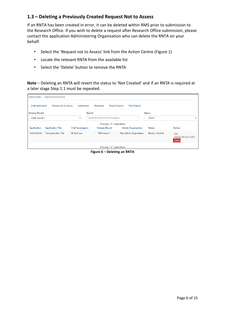#### <span id="page-5-0"></span>**1.3 – Deleting a Previously Created Request Not to Assess**

If an RNTA has been created in error, it can be deleted within RMS prior to submission to the Research Office. If you wish to delete a request after Research Office submission, please contact the application Administering Organisation who can delete the RNTA on your behalf.

- Select the 'Request not to Assess' link from the Action Centre (Figure 1)
- Locate the relevant RNTA from the available list
- Select the 'Delete' button to remove the RNTA

**Note** – Deleting an RNTA will revert the status to 'Not Created' and if an RNTA is required at a later stage Step 1.1 must be repeated.

| Action Centre             | <b>Request not to Assess</b>  |                           |                                      |                                                |                        |                                                    |
|---------------------------|-------------------------------|---------------------------|--------------------------------------|------------------------------------------------|------------------------|----------------------------------------------------|
| <b>Draft Applications</b> | <b>Request not to Assess</b>  | Applications              | <b>Rejoinders</b>                    | <b>Project Reports</b><br><b>Final Reports</b> |                        |                                                    |
| <b>Scheme Round</b>       |                               |                           | <b>Search</b>                        |                                                | <b>Status</b>          |                                                    |
| <b>IDXX</b> round 1       |                               | $\checkmark$              | Application/Title/Chief Investigator |                                                | $-$ Select $-$         | $\checkmark$                                       |
|                           |                               |                           | Showing 1 of 1 applications.         |                                                |                        |                                                    |
| <b>Application</b>        | <b>Application Title</b>      | <b>Chief Investigator</b> | <b>Scheme Round</b>                  | <b>Admin Organisation</b>                      | <b>Status</b>          | <b>Action</b>                                      |
| <b>IDXXXXXXXXXX</b>       | <b>Test Application Title</b> | Mr Test User              | <b>IDXX</b> round 1                  | <b>Test Admin Organisation</b>                 | <b>Ready to Submit</b> | Edit<br>Submit to Research Office<br><b>Delete</b> |
|                           |                               |                           | Showing 1 of 1 applications.         |                                                |                        |                                                    |

**Figure 6 – Deleting an RNTA**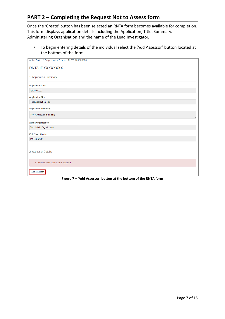# <span id="page-6-0"></span>**PART 2 – Completing the Request Not to Assess form**

Once the 'Create' button has been selected an RNTA form becomes available for completion. This form displays application details including the Application, Title, Summary, Administering Organisation and the name of the Lead Investigator.

• To begin entering details of the individual select the 'Add Assessor' button located at the bottom of the form

| Action Centre / Request not to Assess / RNTA IDXXXXXXXX |
|---------------------------------------------------------|
| RNTA IDXXXXXXXX                                         |
| 1. Application Summary                                  |
| <b>Application Code</b>                                 |
| <b>IDXXXXXXXX</b>                                       |
| <b>Application Title</b>                                |
| <b>Test Application Title</b>                           |
| <b>Application Summary</b>                              |
| <b>Test Application Summary</b>                         |
| <b>Admin Organisation</b>                               |
| <b>Test Admin Organisation</b>                          |
| <b>Chief Investigator</b>                               |
| Mr Test User                                            |
|                                                         |
| 2. Assessor Details                                     |
|                                                         |
| • A minimum of 1 assessor is required                   |
| Add assessor                                            |

**Figure 7 – 'Add Assessor' button at the bottom of the RNTA form**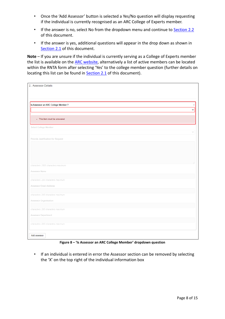- Once the 'Add Assessor' button is selected a Yes/No question will display requesting if the individual is currently recognised as an ARC College of Experts member.
- If the answer is no, select No from the dropdown menu and continue to [Section 2.2](#page-10-0) of this document.
- If the answer is yes, additional questions will appear in the drop down as shown in [Section 2.1](#page-8-0) of this document.

**Note** – If you are unsure if the individual is currently serving as a College of Experts member the list is available on the [ARC website,](https://www.arc.gov.au/about-arc/arc-profile/arc-committees/arc-college-experts) alternatively a list of active members can be located within the RNTA form after selecting 'Yes' to the college member question (further details on locating this list can be found in [Section 2.1](#page-8-0) of this document).

| Is Assessor an ARC College Member?   |  |
|--------------------------------------|--|
|                                      |  |
| - This item must be answered         |  |
| Select College Member                |  |
| Provide Justification for Request    |  |
|                                      |  |
|                                      |  |
|                                      |  |
| characters. 2500 characters maximum. |  |
| Assessor Name                        |  |
|                                      |  |
| characters. 200 characters maximum.  |  |
| Assessor Email Address               |  |
| characters. 200 characters maximum.  |  |
| Assessor Organisation                |  |
|                                      |  |
| characters. 200 characters maximum.  |  |
| Assessor Department                  |  |
|                                      |  |

**Figure 8 – 'Is Assessor an ARC College Member' dropdown question**

• If an individual is entered in error the Assessor section can be removed by selecting the 'X' on the top right of the individual information box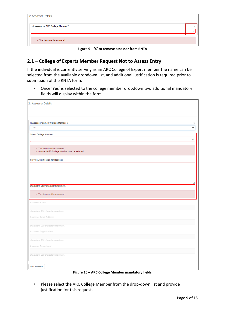| 2. Assessor Details                 |        |
|-------------------------------------|--------|
| Is Assessor an ARC College Member ? |        |
|                                     | $\sim$ |
|                                     |        |
| • This item must be answered        |        |

**Figure 9 – 'X' to remove assessor from RNTA**

#### <span id="page-8-0"></span>**2.1 – College of Experts Member Request Not to Assess Entry**

If the individual is currently serving as an ARC College of Expert member the name can be selected from the available dropdown list, and additional justification is required prior to submission of the RNTA form.

• Once 'Yes' is selected to the college member dropdown two additional mandatory fields will display within the form.

| 2 Assessor Details                                                              |              |
|---------------------------------------------------------------------------------|--------------|
| Is Assessor an ARC College Member ?                                             | $\times$     |
| Yes                                                                             | v            |
| <b>Select College Member</b>                                                    | $\checkmark$ |
| · This item must be answered<br>. A current ARC College Member must be selected |              |
| <b>Provide Justification for Request</b>                                        |              |
| characters. 2500 characters maximum.                                            |              |
| · This item must be answered                                                    |              |
| Assessor Name                                                                   |              |
| characters. 200 characters maximum.                                             |              |
| Assessor Email Address                                                          |              |
| characters. 200 characters maximum.                                             |              |
| Assessor Organisation                                                           |              |
| characters. 200 characters maximum.                                             |              |
| Assessor Department                                                             |              |
| characters. 200 characters maximum.                                             |              |
| Add assessor                                                                    |              |

**Figure 10 – ARC College Member mandatory fields**

• Please select the ARC College Member from the drop-down list and provide justification for this request.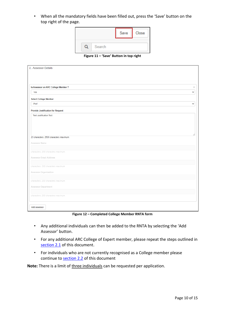• When all the mandatory fields have been filled out, press the 'Save' button on the top right of the page.

|  |        | Save | Close |
|--|--------|------|-------|
|  | Search |      |       |

**Figure 11 – 'Save' Button in top right**

| Is Assessor an ARC College Member ?                                                                                                                                                                                                                                                            |              |
|------------------------------------------------------------------------------------------------------------------------------------------------------------------------------------------------------------------------------------------------------------------------------------------------|--------------|
| Yes                                                                                                                                                                                                                                                                                            | v            |
| <b>Select College Member</b>                                                                                                                                                                                                                                                                   |              |
| Prof.                                                                                                                                                                                                                                                                                          | $\checkmark$ |
| <b>Provide Justification for Request</b>                                                                                                                                                                                                                                                       |              |
| <b>Test Justification Text</b>                                                                                                                                                                                                                                                                 |              |
|                                                                                                                                                                                                                                                                                                |              |
|                                                                                                                                                                                                                                                                                                |              |
|                                                                                                                                                                                                                                                                                                |              |
|                                                                                                                                                                                                                                                                                                |              |
|                                                                                                                                                                                                                                                                                                |              |
|                                                                                                                                                                                                                                                                                                |              |
|                                                                                                                                                                                                                                                                                                |              |
|                                                                                                                                                                                                                                                                                                |              |
|                                                                                                                                                                                                                                                                                                |              |
|                                                                                                                                                                                                                                                                                                |              |
|                                                                                                                                                                                                                                                                                                |              |
|                                                                                                                                                                                                                                                                                                |              |
|                                                                                                                                                                                                                                                                                                |              |
|                                                                                                                                                                                                                                                                                                |              |
|                                                                                                                                                                                                                                                                                                |              |
|                                                                                                                                                                                                                                                                                                |              |
|                                                                                                                                                                                                                                                                                                |              |
| 23 characters. 2500 characters maximum.<br>Assessor Name<br>characters. 200 characters maximum.<br>Assessor Email Address<br>characters. 200 characters maximum.<br>Assessor Organisation<br>characters. 200 characters maximum.<br>Assessor Department<br>characters. 200 characters maximum. |              |

**Figure 12 – Completed College Member RNTA form**

- Any additional individuals can then be added to the RNTA by selecting the 'Add Assessor' button.
- For any additional ARC College of Expert member, please repeat the steps outlined in [section 2.1](#page-8-0) of this document.
- For individuals who are not currently recognised as a College member please continue to [section 2.2](#page-10-0) of this document

#### Note: There is a limit of three individuals can be requested per application.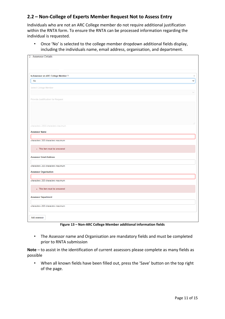#### <span id="page-10-0"></span>**2.2 – Non-College of Experts Member Request Not to Assess Entry**

Individuals who are not an ARC College member do not require additional justification within the RNTA form. To ensure the RNTA can be processed information regarding the individual is requested.

• Once 'No' is selected to the college member dropdown additional fields display, including the individuals name, email address, organisation, and department.

| 2. Assessor Details                  |               |
|--------------------------------------|---------------|
|                                      |               |
|                                      |               |
|                                      |               |
|                                      |               |
| Is Assessor an ARC College Member ?  | $\mathcal{X}$ |
|                                      |               |
| No                                   | $\checkmark$  |
| Select College Member                |               |
|                                      |               |
|                                      |               |
| Provide Justification for Request    |               |
|                                      |               |
|                                      |               |
|                                      |               |
|                                      |               |
|                                      |               |
|                                      |               |
| characters. 2500 characters maximum. |               |
|                                      |               |
| <b>Assessor Name</b>                 |               |
|                                      |               |
| characters. 200 characters maximum.  |               |
|                                      |               |
| • This item must be answered         |               |
|                                      |               |
|                                      |               |
| <b>Assessor Email Address</b>        |               |
|                                      |               |
| characters. 200 characters maximum.  |               |
| <b>Assessor Organisation</b>         |               |
|                                      |               |
|                                      |               |
| characters. 200 characters maximum.  |               |
|                                      |               |
| • This item must be answered         |               |
|                                      |               |
| <b>Assessor Department</b>           |               |
|                                      |               |
| characters. 200 characters maximum.  |               |
|                                      |               |
|                                      |               |
| Add assessor                         |               |
|                                      |               |
|                                      |               |

**Figure 13 – Non-ARC College Member additional information fields**

• The Assessor name and Organisation are mandatory fields and must be completed prior to RNTA submission

**Note** – to assist in the identification of current assessors please complete as many fields as possible

• When all known fields have been filled out, press the 'Save' button on the top right of the page.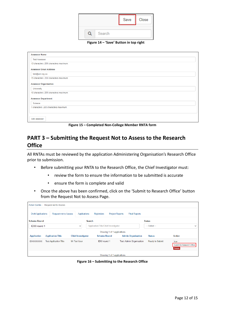

**Figure 14 – 'Save' Button in top right**

| <b>Assessor Name</b>                   |  |
|----------------------------------------|--|
| <b>Test Assessor</b>                   |  |
| 13 characters. 200 characters maximum. |  |
| <b>Assessor Email Address</b>          |  |
| test@uni.org.au                        |  |
| 15 characters, 200 characters maximum. |  |
| <b>Assessor Organisation</b>           |  |
| University                             |  |
| 10 characters, 200 characters maximum. |  |
| <b>Assessor Department</b>             |  |
| Science                                |  |
| 7 characters, 200 characters maximum.  |  |
|                                        |  |
| Add assessor                           |  |

**Figure 15 – Completed Non-College Member RNTA form**

# <span id="page-11-0"></span>**PART 3 – Submitting the Request Not to Assess to the Research Office**

All RNTAs must be reviewed by the application Administering Organisation's Research Office prior to submission.

- Before submitting your RNTA to the Research Office, the Chief Investigator must:
	- review the form to ensure the information to be submitted is accurate
	- ensure the form is complete and valid
- Once the above has been confirmed, click on the 'Submit to Research Office' button from the Request Not to Assess Page.

| <b>Action Centre</b><br><b>Request not to Assess</b> |                               |                           |                                      |                                                |                                |                                                    |  |
|------------------------------------------------------|-------------------------------|---------------------------|--------------------------------------|------------------------------------------------|--------------------------------|----------------------------------------------------|--|
| <b>Draft Applications</b>                            | <b>Request not to Assess</b>  | Applications              | Rejoinders                           | <b>Project Reports</b><br><b>Final Reports</b> |                                |                                                    |  |
| <b>Scheme Round</b>                                  |                               | <b>Search</b>             |                                      |                                                | <b>Status</b>                  |                                                    |  |
| <b>IDXX</b> round 1                                  |                               | $\checkmark$              | Application/Title/Chief Investigator |                                                | $-$ Select $-$<br>$\checkmark$ |                                                    |  |
|                                                      |                               |                           | Showing 1 of 1 applications.         |                                                |                                |                                                    |  |
| <b>Application</b>                                   | <b>Application Title</b>      | <b>Chief Investigator</b> | <b>Scheme Round</b>                  | <b>Admin Organisation</b>                      | <b>Status</b>                  | <b>Action</b>                                      |  |
| <b>IDXXXXXXXXX</b>                                   | <b>Test Application Title</b> | Mr Test User              | <b>IDXX</b> round 1                  | <b>Test Admin Organisation</b>                 | <b>Ready to Submit</b>         | Edit<br>Submit to Research Office<br><b>Delete</b> |  |
|                                                      |                               |                           | Showing 1 of 1 applications.         |                                                |                                |                                                    |  |

**Figure 16 – Submitting to the Research Office**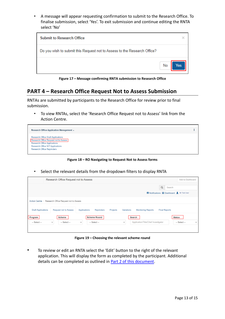• A message will appear requesting confirmation to submit to the Research Office. To finalise submission, select 'Yes'. To exit submission and continue editing the RNTA select 'No'

| <b>Submit to Research Office</b>                                         | ×         |
|--------------------------------------------------------------------------|-----------|
| Do you wish to submit this Request not to Assess to the Research Office? |           |
|                                                                          | No<br>es. |

**Figure 17 – Message confirming RNTA submission to Research Office**

# <span id="page-12-0"></span>**PART 4 – Research Office Request Not to Assess Submission**

RNTAs are submitted by participants to the Research Office for review prior to final submission.

• To view RNTAs, select the 'Research Office Request not to Assess' link from the Action Centre.



**Figure 18 – RO Navigating to Request Not to Assess forms**

• Select the relevant details from the dropdown filters to display RNTA

|                           | Research Office Request not to Assess                 |                                                       |                                                                       |          |                      | Add to Dashboard                                |
|---------------------------|-------------------------------------------------------|-------------------------------------------------------|-----------------------------------------------------------------------|----------|----------------------|-------------------------------------------------|
|                           |                                                       |                                                       |                                                                       | $\alpha$ | Search               |                                                 |
|                           |                                                       |                                                       |                                                                       |          |                      | Mr Test User                                    |
|                           | Action Centre / Research Office Request not to Assess |                                                       |                                                                       |          |                      |                                                 |
| <b>Draft Applications</b> | <b>Request not to Assess</b>                          | Applications<br><b>Rejoinders</b>                     | Variations<br>Projects<br><b>Monitoring Reports</b>                   |          | <b>Final Reports</b> |                                                 |
|                           |                                                       |                                                       |                                                                       |          |                      |                                                 |
| Program<br>$-$ Select $-$ | <b>Scheme</b><br>$-$ Select $-$<br>$\checkmark$       | <b>Scheme Round</b><br>$-$ Select $-$<br>$\checkmark$ | <b>Search</b><br>Application/Title/Chief Investigator<br>$\checkmark$ |          |                      | <b>Status</b><br>$-$ Select $-$<br>$\checkmark$ |
|                           |                                                       |                                                       |                                                                       |          |                      |                                                 |
|                           |                                                       |                                                       |                                                                       |          |                      |                                                 |

**Figure 19 – Choosing the relevant scheme round**

• To review or edit an RNTA select the 'Edit' button to the right of the relevant application. This will display the form as completed by the participant. Additional details can be completed as outlined in **Part 2 of this document**.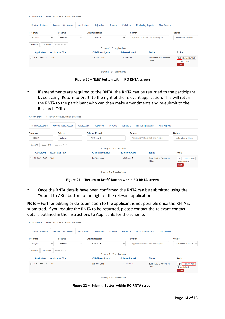| Action Centre /                   | Research Office Request not to Assess |              |                               |                     |               |                                                   |                                                             |
|-----------------------------------|---------------------------------------|--------------|-------------------------------|---------------------|---------------|---------------------------------------------------|-------------------------------------------------------------|
| <b>Draft Applications</b>         | <b>Request not to Assess</b>          | Applications | Projects<br><b>Rejoinders</b> | Variations          |               | <b>Final Reports</b><br><b>Monitoring Reports</b> |                                                             |
| Program                           | <b>Scheme</b>                         |              | <b>Scheme Round</b>           |                     | <b>Search</b> |                                                   | <b>Status</b>                                               |
| Program                           | Scheme<br>$\checkmark$                | $\checkmark$ | <b>IDXX</b> round 1           | $\check{~}$         |               | Application/Title/Chief Investigator              | Submitted to Rese $\sim$                                    |
| Select All<br><b>Deselect All</b> | Submit to ARC                         |              | Showing 1 of 1 applications.  |                     |               |                                                   |                                                             |
| <b>Application</b>                | <b>Application Title</b>              |              | <b>Chief Investigator</b>     | <b>Scheme Round</b> |               | <b>Status</b>                                     | <b>Action</b>                                               |
| <b>IDXXXXXXXXX</b>                | <b>Test</b>                           |              | Mr Test User                  | <b>IDXX</b> round 1 |               | Submitted to Research<br>Office                   | Submit to ARC<br>Edit  <br><b>Return to Draft</b><br>Delete |
|                                   |                                       |              | Showing 1 of 1 applications.  |                     |               |                                                   |                                                             |

**Figure 20 – 'Edit' button within RO RNTA screen**

If amendments are required to the RNTA, the RNTA can be returned to the participant by selecting 'Return to Draft' to the right of the relevant application. This will return the RNTA to the participant who can then make amendments and re-submit to the Research Office.

| <b>Draft Applications</b>  | Action Centre / Research Office Request not to Assess<br><b>Request not to Assess</b> | <b>Applications</b> | <b>Rejoinders</b><br>Projects | Variations          |                     | <b>Final Reports</b><br><b>Monitoring Reports</b> |                                                   |
|----------------------------|---------------------------------------------------------------------------------------|---------------------|-------------------------------|---------------------|---------------------|---------------------------------------------------|---------------------------------------------------|
| Program                    | <b>Scheme</b>                                                                         |                     | <b>Scheme Round</b>           |                     | <b>Search</b>       |                                                   | <b>Status</b>                                     |
| Program                    | Scheme<br>$\checkmark$                                                                | $\checkmark$        | <b>IDXX</b> round 1           | $\checkmark$        |                     | Application/Title/Chief Investigator              | Submitted to Rese<br>$\checkmark$                 |
| Select All<br>Deselect All | Submit to ARC                                                                         |                     | Showing 1 of 1 applications.  |                     |                     |                                                   |                                                   |
| <b>Application</b>         | <b>Application Title</b>                                                              |                     | <b>Chief Investigator</b>     |                     | <b>Scheme Round</b> | <b>Status</b>                                     | <b>Action</b>                                     |
| <b>IDXXXXXXXXX</b>         | <b>Test</b>                                                                           |                     | Mr Test User                  | <b>IDXX</b> round 1 |                     | Submitted to Research<br>Office                   | Edit   Submit to ARC<br>Return to Draft<br>Delete |
|                            |                                                                                       |                     | Showing 1 of 1 applications.  |                     |                     |                                                   |                                                   |

**Figure 21 – 'Return to Draft' Button within RO RNTA screen**

• Once the RNTA details have been confirmed the RNTA can be submitted using the 'Submit to ARC' button to the right of the relevant application.

**Note** – Further editing or de-submission to the applicant is not possible once the RNTA is submitted. If you require the RNTA to be returned, please contact the relevant contact details outlined in the Instructions to Applicants for the scheme.

|                            | Action Centre / Research Office Request not to Assess |              |                               |                     |               |                                                   |                                                          |
|----------------------------|-------------------------------------------------------|--------------|-------------------------------|---------------------|---------------|---------------------------------------------------|----------------------------------------------------------|
| <b>Draft Applications</b>  | <b>Request not to Assess</b>                          | Applications | Projects<br><b>Rejoinders</b> | Variations          |               | <b>Final Reports</b><br><b>Monitoring Reports</b> |                                                          |
| Program                    | <b>Scheme</b>                                         |              | <b>Scheme Round</b>           |                     | <b>Search</b> |                                                   | <b>Status</b>                                            |
| Program                    | Scheme<br>$\checkmark$                                | $\checkmark$ | <b>IDXX</b> round 1           | $\checkmark$        |               | Application/Title/Chief Investigator              | Submitted to Rese $\sim$                                 |
| Select All<br>Deselect All | Submit to ARC                                         |              | Showing 1 of 1 applications.  |                     |               |                                                   |                                                          |
| <b>Application</b>         | <b>Application Title</b>                              |              | <b>Chief Investigator</b>     | <b>Scheme Round</b> |               | <b>Status</b>                                     | <b>Action</b>                                            |
| <b>IDXXXXXXXXX</b>         | <b>Test</b>                                           |              | Mr Test User                  | <b>IDXX</b> round 1 |               | Submitted to Research<br>Office                   | Edit   Submit to ARC<br>Return to Draft<br><b>Delete</b> |
|                            |                                                       |              | Showing 1 of 1 applications.  |                     |               |                                                   |                                                          |

**Figure 22 – 'Submit' Button within RO RNTA screen**